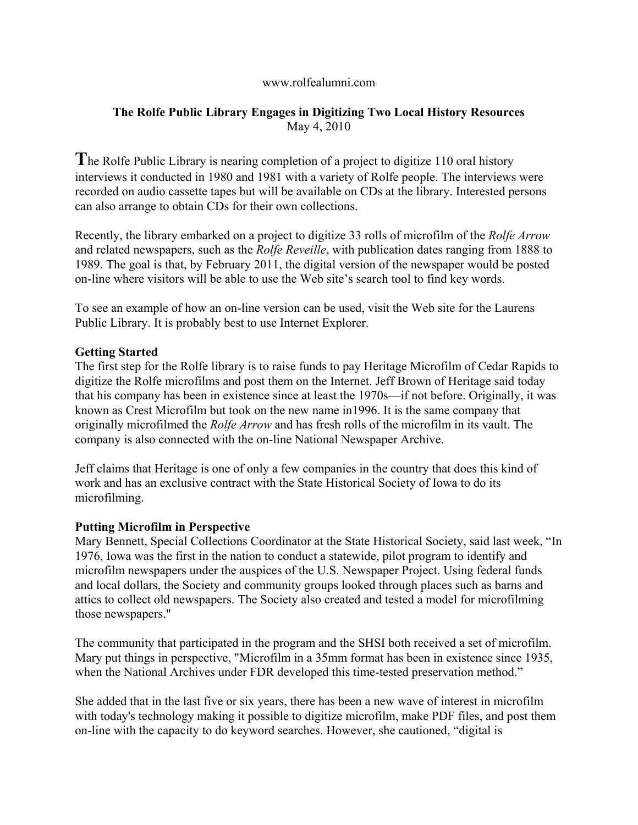#### www.rolfealumni.com

# **The Rolfe Public Library Engages in Digitizing Two Local History Resources** May 4, 2010

**T**he Rolfe Public Library is nearing completion of a project to digitize 110 oral history interviews it conducted in 1980 and 1981 with a variety of Rolfe people. The interviews were recorded on audio cassette tapes but will be available on CDs at the library. Interested persons can also arrange to obtain CDs for their own collections.

Recently, the library embarked on a project to digitize 33 rolls of microfilm of the *Rolfe Arrow* and related newspapers, such as the *Rolfe Reveille*, with publication dates ranging from 1888 to 1989. The goal is that, by February 2011, the digital version of the newspaper would be posted on-line where visitors will be able to use the Web site's search tool to find key words.

To see an example of how an on-line version can be used, visit the Web site for the Laurens Public Library. It is probably best to use Internet Explorer.

### **Getting Started**

The first step for the Rolfe library is to raise funds to pay Heritage Microfilm of Cedar Rapids to digitize the Rolfe microfilms and post them on the Internet. Jeff Brown of Heritage said today that his company has been in existence since at least the 1970s—if not before. Originally, it was known as Crest Microfilm but took on the new name in1996. It is the same company that originally microfilmed the *Rolfe Arrow* and has fresh rolls of the microfilm in its vault. The company is also connected with the on-line National Newspaper Archive.

Jeff claims that Heritage is one of only a few companies in the country that does this kind of work and has an exclusive contract with the State Historical Society of Iowa to do its microfilming.

# **Putting Microfilm in Perspective**

Mary Bennett, Special Collections Coordinator at the State Historical Society, said last week, "In 1976, Iowa was the first in the nation to conduct a statewide, pilot program to identify and microfilm newspapers under the auspices of the U.S. Newspaper Project. Using federal funds and local dollars, the Society and community groups looked through places such as barns and attics to collect old newspapers. The Society also created and tested a model for microfilming those newspapers."

The community that participated in the program and the SHSI both received a set of microfilm. Mary put things in perspective, "Microfilm in a 35mm format has been in existence since 1935, when the National Archives under FDR developed this time-tested preservation method."

She added that in the last five or six years, there has been a new wave of interest in microfilm with today's technology making it possible to digitize microfilm, make PDF files, and post them on-line with the capacity to do keyword searches. However, she cautioned, "digital is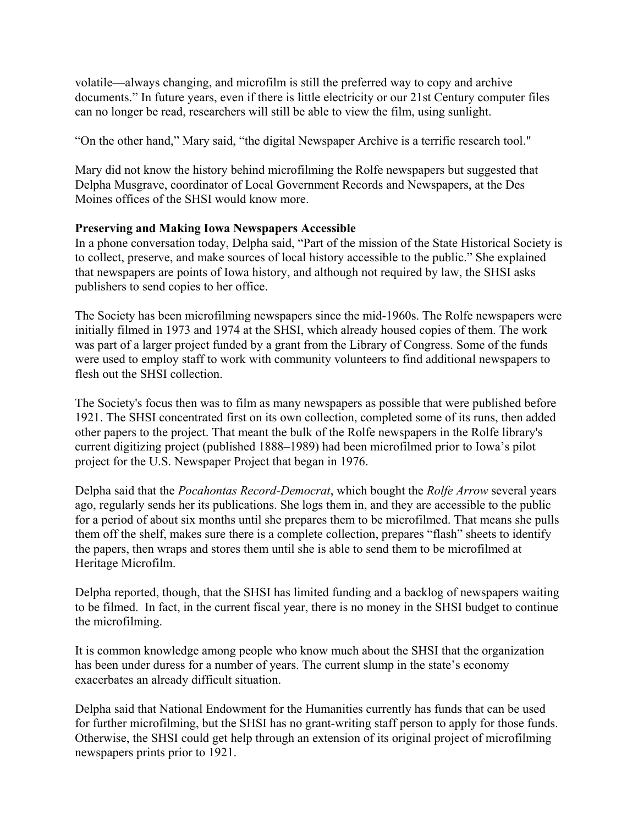volatile—always changing, and microfilm is still the preferred way to copy and archive documents." In future years, even if there is little electricity or our 21st Century computer files can no longer be read, researchers will still be able to view the film, using sunlight.

"On the other hand," Mary said, "the digital Newspaper Archive is a terrific research tool."

Mary did not know the history behind microfilming the Rolfe newspapers but suggested that Delpha Musgrave, coordinator of Local Government Records and Newspapers, at the Des Moines offices of the SHSI would know more.

### **Preserving and Making Iowa Newspapers Accessible**

In a phone conversation today, Delpha said, "Part of the mission of the State Historical Society is to collect, preserve, and make sources of local history accessible to the public." She explained that newspapers are points of Iowa history, and although not required by law, the SHSI asks publishers to send copies to her office.

The Society has been microfilming newspapers since the mid-1960s. The Rolfe newspapers were initially filmed in 1973 and 1974 at the SHSI, which already housed copies of them. The work was part of a larger project funded by a grant from the Library of Congress. Some of the funds were used to employ staff to work with community volunteers to find additional newspapers to flesh out the SHSI collection.

The Society's focus then was to film as many newspapers as possible that were published before 1921. The SHSI concentrated first on its own collection, completed some of its runs, then added other papers to the project. That meant the bulk of the Rolfe newspapers in the Rolfe library's current digitizing project (published 1888–1989) had been microfilmed prior to Iowa's pilot project for the U.S. Newspaper Project that began in 1976.

Delpha said that the *Pocahontas Record-Democrat*, which bought the *Rolfe Arrow* several years ago, regularly sends her its publications. She logs them in, and they are accessible to the public for a period of about six months until she prepares them to be microfilmed. That means she pulls them off the shelf, makes sure there is a complete collection, prepares "flash" sheets to identify the papers, then wraps and stores them until she is able to send them to be microfilmed at Heritage Microfilm.

Delpha reported, though, that the SHSI has limited funding and a backlog of newspapers waiting to be filmed. In fact, in the current fiscal year, there is no money in the SHSI budget to continue the microfilming.

It is common knowledge among people who know much about the SHSI that the organization has been under duress for a number of years. The current slump in the state's economy exacerbates an already difficult situation.

Delpha said that National Endowment for the Humanities currently has funds that can be used for further microfilming, but the SHSI has no grant-writing staff person to apply for those funds. Otherwise, the SHSI could get help through an extension of its original project of microfilming newspapers prints prior to 1921.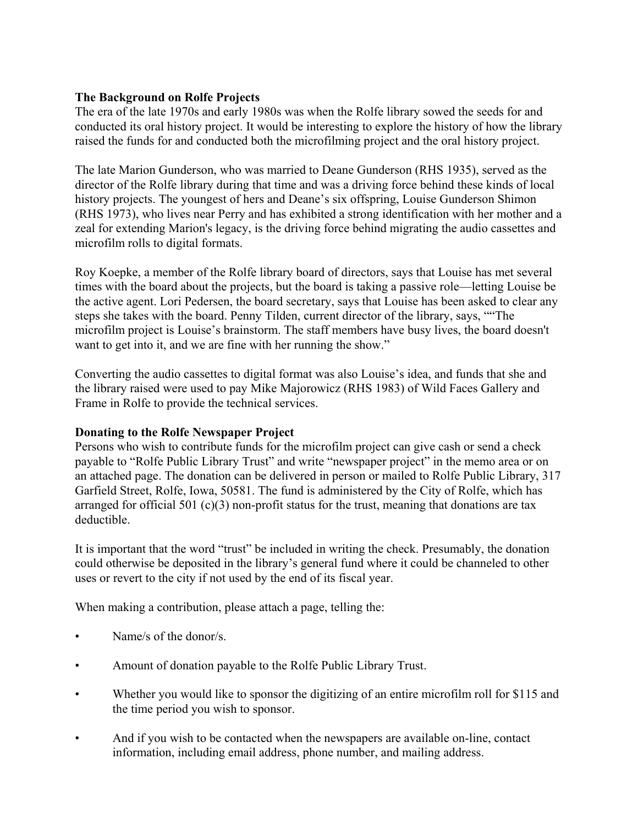### **The Background on Rolfe Projects**

The era of the late 1970s and early 1980s was when the Rolfe library sowed the seeds for and conducted its oral history project. It would be interesting to explore the history of how the library raised the funds for and conducted both the microfilming project and the oral history project.

The late Marion Gunderson, who was married to Deane Gunderson (RHS 1935), served as the director of the Rolfe library during that time and was a driving force behind these kinds of local history projects. The youngest of hers and Deane's six offspring, Louise Gunderson Shimon (RHS 1973), who lives near Perry and has exhibited a strong identification with her mother and a zeal for extending Marion's legacy, is the driving force behind migrating the audio cassettes and microfilm rolls to digital formats.

Roy Koepke, a member of the Rolfe library board of directors, says that Louise has met several times with the board about the projects, but the board is taking a passive role—letting Louise be the active agent. Lori Pedersen, the board secretary, says that Louise has been asked to clear any steps she takes with the board. Penny Tilden, current director of the library, says, ""The microfilm project is Louise's brainstorm. The staff members have busy lives, the board doesn't want to get into it, and we are fine with her running the show."

Converting the audio cassettes to digital format was also Louise's idea, and funds that she and the library raised were used to pay Mike Majorowicz (RHS 1983) of Wild Faces Gallery and Frame in Rolfe to provide the technical services.

# **Donating to the Rolfe Newspaper Project**

Persons who wish to contribute funds for the microfilm project can give cash or send a check payable to "Rolfe Public Library Trust" and write "newspaper project" in the memo area or on an attached page. The donation can be delivered in person or mailed to Rolfe Public Library, 317 Garfield Street, Rolfe, Iowa, 50581. The fund is administered by the City of Rolfe, which has arranged for official 501 (c)(3) non-profit status for the trust, meaning that donations are tax deductible.

It is important that the word "trust" be included in writing the check. Presumably, the donation could otherwise be deposited in the library's general fund where it could be channeled to other uses or revert to the city if not used by the end of its fiscal year.

When making a contribution, please attach a page, telling the:

- Name/s of the donor/s.
- Amount of donation payable to the Rolfe Public Library Trust.
- Whether you would like to sponsor the digitizing of an entire microfilm roll for \$115 and the time period you wish to sponsor.
- And if you wish to be contacted when the newspapers are available on-line, contact information, including email address, phone number, and mailing address.